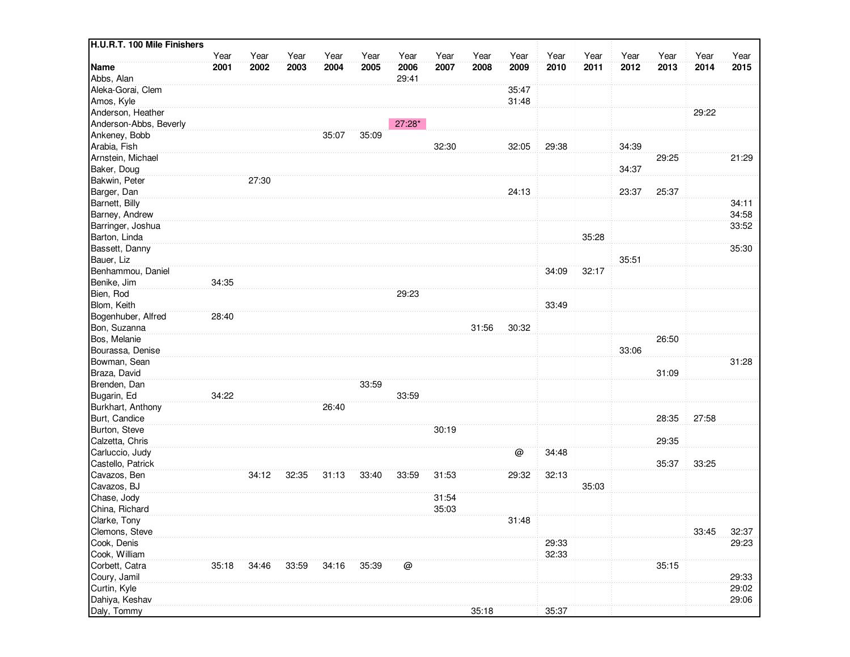| H.U.R.T. 100 Mile Finishers |       |       |       |       |       |          |       |       |       |       |       |       |       |       |       |
|-----------------------------|-------|-------|-------|-------|-------|----------|-------|-------|-------|-------|-------|-------|-------|-------|-------|
|                             | Year  | Year  | Year  | Year  | Year  | Year     | Year  | Year  | Year  | Year  | Year  | Year  | Year  | Year  | Year  |
| <b>Name</b>                 | 2001  | 2002  | 2003  | 2004  | 2005  | 2006     | 2007  | 2008  | 2009  | 2010  | 2011  | 2012  | 2013  | 2014  | 2015  |
| Abbs, Alan                  |       |       |       |       |       | 29:41    |       |       |       |       |       |       |       |       |       |
| Aleka-Gorai, Clem           |       |       |       |       |       |          |       |       | 35:47 |       |       |       |       |       |       |
| Amos, Kyle                  |       |       |       |       |       |          |       |       | 31:48 |       |       |       |       |       |       |
| Anderson, Heather           |       |       |       |       |       |          |       |       |       |       |       |       |       | 29:22 |       |
| Anderson-Abbs, Beverly      |       |       |       |       |       | $27:28*$ |       |       |       |       |       |       |       |       |       |
| Ankeney, Bobb               |       |       |       | 35:07 | 35:09 |          |       |       |       |       |       |       |       |       |       |
| Arabia, Fish                |       |       |       |       |       |          | 32:30 |       | 32:05 | 29:38 |       | 34:39 |       |       |       |
| Arnstein, Michael           |       |       |       |       |       |          |       |       |       |       |       |       | 29:25 |       | 21:29 |
| Baker, Doug                 |       |       |       |       |       |          |       |       |       |       |       | 34:37 |       |       |       |
| Bakwin, Peter               |       | 27:30 |       |       |       |          |       |       |       |       |       |       |       |       |       |
| Barger, Dan                 |       |       |       |       |       |          |       |       | 24:13 |       |       | 23:37 | 25:37 |       |       |
| Barnett, Billy              |       |       |       |       |       |          |       |       |       |       |       |       |       |       | 34:11 |
| Barney, Andrew              |       |       |       |       |       |          |       |       |       |       |       |       |       |       | 34:58 |
| Barringer, Joshua           |       |       |       |       |       |          |       |       |       |       |       |       |       |       | 33:52 |
| Barton, Linda               |       |       |       |       |       |          |       |       |       |       | 35:28 |       |       |       |       |
| Bassett, Danny              |       |       |       |       |       |          |       |       |       |       |       |       |       |       | 35:30 |
| Bauer, Liz                  |       |       |       |       |       |          |       |       |       |       |       | 35:51 |       |       |       |
| Benhammou, Daniel           |       |       |       |       |       |          |       |       |       | 34:09 | 32:17 |       |       |       |       |
| Benike, Jim                 | 34:35 |       |       |       |       |          |       |       |       |       |       |       |       |       |       |
| Bien, Rod                   |       |       |       |       |       | 29:23    |       |       |       |       |       |       |       |       |       |
| Blom, Keith                 |       |       |       |       |       |          |       |       |       | 33:49 |       |       |       |       |       |
| Bogenhuber, Alfred          | 28:40 |       |       |       |       |          |       |       |       |       |       |       |       |       |       |
| Bon, Suzanna                |       |       |       |       |       |          |       | 31:56 | 30:32 |       |       |       |       |       |       |
| Bos, Melanie                |       |       |       |       |       |          |       |       |       |       |       |       | 26:50 |       |       |
| Bourassa, Denise            |       |       |       |       |       |          |       |       |       |       |       | 33:06 |       |       |       |
| Bowman, Sean                |       |       |       |       |       |          |       |       |       |       |       |       |       |       | 31:28 |
| Braza, David                |       |       |       |       |       |          |       |       |       |       |       |       | 31:09 |       |       |
| Brenden, Dan                |       |       |       |       | 33:59 |          |       |       |       |       |       |       |       |       |       |
| Bugarin, Ed                 | 34:22 |       |       |       |       | 33:59    |       |       |       |       |       |       |       |       |       |
| Burkhart, Anthony           |       |       |       | 26:40 |       |          |       |       |       |       |       |       |       |       |       |
| Burt, Candice               |       |       |       |       |       |          |       |       |       |       |       |       | 28:35 | 27:58 |       |
| Burton, Steve               |       |       |       |       |       |          | 30:19 |       |       |       |       |       |       |       |       |
| Calzetta, Chris             |       |       |       |       |       |          |       |       |       |       |       |       | 29:35 |       |       |
| Carluccio, Judy             |       |       |       |       |       |          |       |       | @     | 34:48 |       |       |       |       |       |
| Castello, Patrick           |       |       |       |       |       |          |       |       |       |       |       |       | 35:37 | 33:25 |       |
| Cavazos, Ben                |       | 34:12 | 32:35 | 31:13 | 33:40 | 33:59    | 31:53 |       | 29:32 | 32:13 |       |       |       |       |       |
| Cavazos, BJ                 |       |       |       |       |       |          |       |       |       |       | 35:03 |       |       |       |       |
| Chase, Jody                 |       |       |       |       |       |          | 31:54 |       |       |       |       |       |       |       |       |
| China, Richard              |       |       |       |       |       |          | 35:03 |       |       |       |       |       |       |       |       |
| Clarke, Tony                |       |       |       |       |       |          |       |       | 31:48 |       |       |       |       |       |       |
| Clemons, Steve              |       |       |       |       |       |          |       |       |       |       |       |       |       | 33:45 | 32:37 |
| Cook, Denis                 |       |       |       |       |       |          |       |       |       | 29:33 |       |       |       |       | 29:23 |
| Cook, William               |       |       |       |       |       |          |       |       |       | 32:33 |       |       |       |       |       |
| Corbett, Catra              | 35:18 | 34:46 | 33:59 | 34:16 | 35:39 | @        |       |       |       |       |       |       | 35:15 |       |       |
| Coury, Jamil                |       |       |       |       |       |          |       |       |       |       |       |       |       |       | 29:33 |
| Curtin, Kyle                |       |       |       |       |       |          |       |       |       |       |       |       |       |       | 29:02 |
| Dahiya, Keshav              |       |       |       |       |       |          |       |       |       |       |       |       |       |       | 29:06 |
| Daly, Tommy                 |       |       |       |       |       |          |       | 35:18 |       | 35:37 |       |       |       |       |       |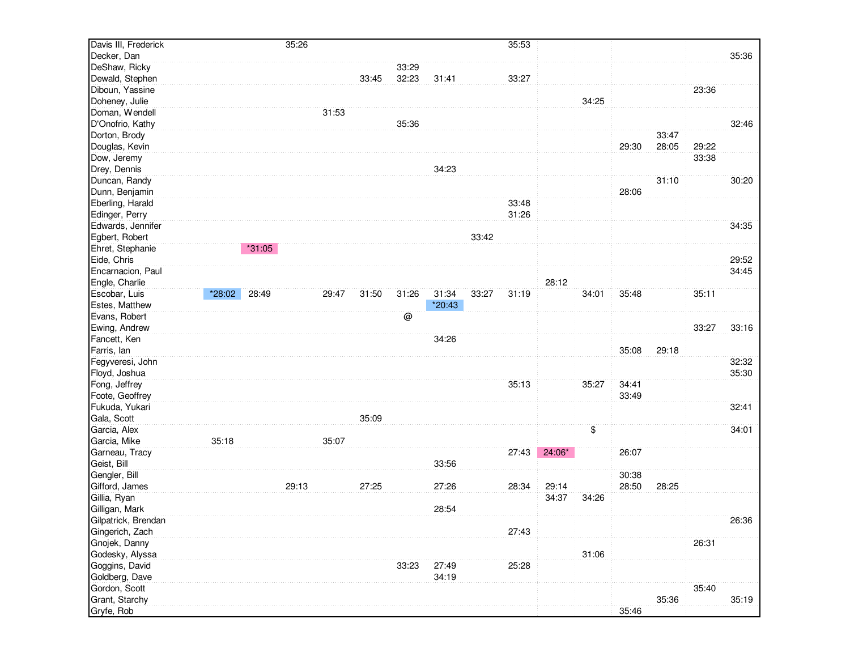| Davis III, Frederick |        |          | 35:26 |       |       |       |        |       | 35:53 |        |       |       |       |       |       |
|----------------------|--------|----------|-------|-------|-------|-------|--------|-------|-------|--------|-------|-------|-------|-------|-------|
| Decker, Dan          |        |          |       |       |       |       |        |       |       |        |       |       |       |       | 35:36 |
| DeShaw, Ricky        |        |          |       |       |       | 33:29 |        |       |       |        |       |       |       |       |       |
| Dewald, Stephen      |        |          |       |       | 33:45 | 32:23 | 31:41  |       | 33:27 |        |       |       |       |       |       |
| Diboun, Yassine      |        |          |       |       |       |       |        |       |       |        |       |       |       | 23:36 |       |
| Doheney, Julie       |        |          |       |       |       |       |        |       |       |        | 34:25 |       |       |       |       |
| Doman, Wendell       |        |          |       | 31:53 |       |       |        |       |       |        |       |       |       |       |       |
| D'Onofrio, Kathy     |        |          |       |       |       | 35:36 |        |       |       |        |       |       |       |       | 32:46 |
| Dorton, Brody        |        |          |       |       |       |       |        |       |       |        |       |       | 33:47 |       |       |
| Douglas, Kevin       |        |          |       |       |       |       |        |       |       |        |       | 29:30 | 28:05 | 29:22 |       |
| Dow, Jeremy          |        |          |       |       |       |       |        |       |       |        |       |       |       | 33:38 |       |
| Drey, Dennis         |        |          |       |       |       |       | 34:23  |       |       |        |       |       |       |       |       |
| Duncan, Randy        |        |          |       |       |       |       |        |       |       |        |       |       | 31:10 |       | 30:20 |
| Dunn, Benjamin       |        |          |       |       |       |       |        |       |       |        |       | 28:06 |       |       |       |
| Eberling, Harald     |        |          |       |       |       |       |        |       | 33:48 |        |       |       |       |       |       |
| Edinger, Perry       |        |          |       |       |       |       |        |       | 31:26 |        |       |       |       |       |       |
| Edwards, Jennifer    |        |          |       |       |       |       |        |       |       |        |       |       |       |       | 34:35 |
| Egbert, Robert       |        |          |       |       |       |       |        | 33:42 |       |        |       |       |       |       |       |
| Ehret, Stephanie     |        | $*31:05$ |       |       |       |       |        |       |       |        |       |       |       |       |       |
| Eide, Chris          |        |          |       |       |       |       |        |       |       |        |       |       |       |       | 29:52 |
| Encarnacion, Paul    |        |          |       |       |       |       |        |       |       |        |       |       |       |       | 34:45 |
| Engle, Charlie       |        |          |       |       |       |       |        |       |       | 28:12  |       |       |       |       |       |
| Escobar, Luis        | *28:02 | 28:49    |       | 29:47 | 31:50 | 31:26 | 31:34  | 33:27 | 31:19 |        | 34:01 | 35:48 |       | 35:11 |       |
| Estes, Matthew       |        |          |       |       |       |       | *20:43 |       |       |        |       |       |       |       |       |
| Evans, Robert        |        |          |       |       |       | @     |        |       |       |        |       |       |       |       |       |
| Ewing, Andrew        |        |          |       |       |       |       |        |       |       |        |       |       |       | 33:27 | 33:16 |
| Fancett, Ken         |        |          |       |       |       |       | 34:26  |       |       |        |       |       |       |       |       |
| Farris, lan          |        |          |       |       |       |       |        |       |       |        |       | 35:08 | 29:18 |       |       |
| Fegyveresi, John     |        |          |       |       |       |       |        |       |       |        |       |       |       |       | 32:32 |
| Floyd, Joshua        |        |          |       |       |       |       |        |       |       |        |       |       |       |       | 35:30 |
| Fong, Jeffrey        |        |          |       |       |       |       |        |       | 35:13 |        | 35:27 | 34:41 |       |       |       |
| Foote, Geoffrey      |        |          |       |       |       |       |        |       |       |        |       | 33:49 |       |       |       |
| Fukuda, Yukari       |        |          |       |       |       |       |        |       |       |        |       |       |       |       | 32:41 |
| Gala, Scott          |        |          |       |       | 35:09 |       |        |       |       |        |       |       |       |       |       |
| Garcia, Alex         |        |          |       |       |       |       |        |       |       |        | \$    |       |       |       | 34:01 |
| Garcia, Mike         | 35:18  |          |       | 35:07 |       |       |        |       |       |        |       |       |       |       |       |
| Garneau, Tracy       |        |          |       |       |       |       |        |       | 27:43 | 24:06* |       | 26:07 |       |       |       |
| Geist, Bill          |        |          |       |       |       |       | 33:56  |       |       |        |       |       |       |       |       |
| Gengler, Bill        |        |          |       |       |       |       |        |       |       |        |       | 30:38 |       |       |       |
| Gifford, James       |        |          | 29:13 |       | 27:25 |       | 27:26  |       | 28:34 | 29:14  |       | 28:50 | 28:25 |       |       |
| Gillia, Ryan         |        |          |       |       |       |       |        |       |       | 34:37  | 34:26 |       |       |       |       |
| Gilligan, Mark       |        |          |       |       |       |       | 28:54  |       |       |        |       |       |       |       |       |
| Gilpatrick, Brendan  |        |          |       |       |       |       |        |       |       |        |       |       |       |       | 26:36 |
| Gingerich, Zach      |        |          |       |       |       |       |        |       | 27:43 |        |       |       |       |       |       |
| Gnojek, Danny        |        |          |       |       |       |       |        |       |       |        |       |       |       | 26:31 |       |
| Godesky, Alyssa      |        |          |       |       |       |       |        |       |       |        | 31:06 |       |       |       |       |
| Goggins, David       |        |          |       |       |       | 33:23 | 27:49  |       | 25:28 |        |       |       |       |       |       |
| Goldberg, Dave       |        |          |       |       |       |       | 34:19  |       |       |        |       |       |       |       |       |
| Gordon, Scott        |        |          |       |       |       |       |        |       |       |        |       |       |       | 35:40 |       |
| Grant, Starchy       |        |          |       |       |       |       |        |       |       |        |       |       | 35:36 |       | 35:19 |
| Gryfe, Rob           |        |          |       |       |       |       |        |       |       |        |       | 35:46 |       |       |       |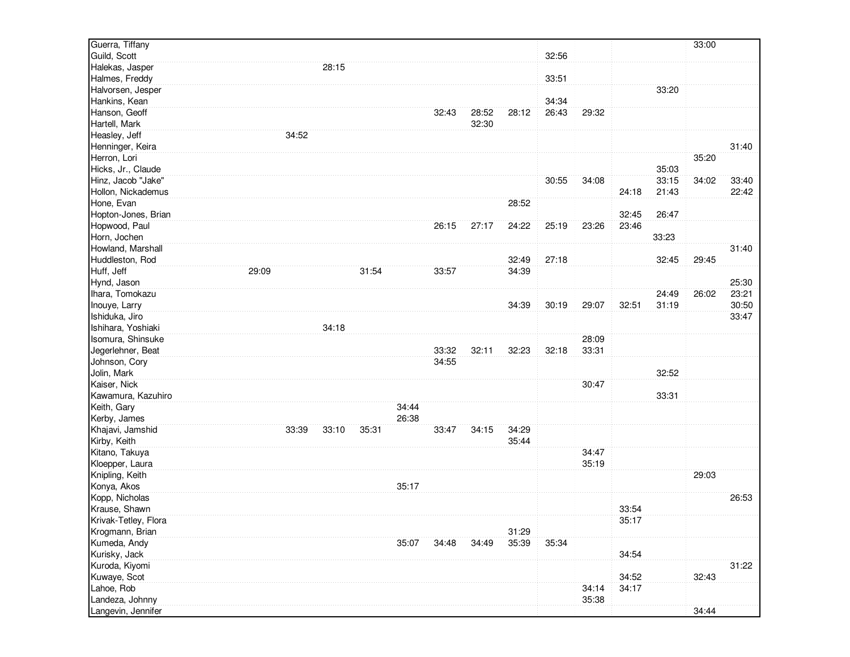| Guild, Scott<br>32:56<br>Halekas, Jasper<br>28:15<br>33:51<br>Halmes, Freddy<br>Halvorsen, Jesper<br>33:20<br>34:34<br>Hankins, Kean<br>Hanson, Geoff<br>26:43<br>32:43<br>28:52<br>28:12<br>29:32<br>Hartell, Mark<br>32:30<br>Heasley, Jeff<br>34:52<br>Henninger, Keira<br>31:40<br>Herron, Lori<br>35:20<br>Hicks, Jr., Claude<br>35:03<br>Hinz, Jacob "Jake"<br>34:08<br>33:15<br>34:02<br>30:55<br>33:40<br>Hollon, Nickademus<br>24:18<br>21:43<br>22:42<br>Hone, Evan<br>28:52<br>Hopton-Jones, Brian<br>32:45<br>26:47<br>Hopwood, Paul<br>23:46<br>26:15<br>27:17<br>24:22<br>25:19<br>23:26<br>Horn, Jochen<br>33:23<br>31:40<br>Howland, Marshall<br>Huddleston, Rod<br>32:49<br>27:18<br>32:45<br>29:45<br>Huff, Jeff<br>29:09<br>34:39<br>31:54<br>33:57<br>Hynd, Jason<br>25:30<br>Ihara, Tomokazu<br>24:49<br>26:02<br>23:21<br>30:50<br>Inouye, Larry<br>34:39<br>30:19<br>29:07<br>32:51<br>31:19<br>Ishiduka, Jiro<br>33:47<br>Ishihara, Yoshiaki<br>34:18<br>28:09<br>Isomura, Shinsuke<br>Jegerlehner, Beat<br>33:32<br>32:23<br>32:18<br>33:31<br>32:11<br>Johnson, Cory<br>34:55<br>Jolin, Mark<br>32:52<br>30:47<br>Kaiser, Nick<br>Kawamura, Kazuhiro<br>33:31<br>34:44<br>Keith, Gary<br>Kerby, James<br>26:38<br>Khajavi, Jamshid<br>34:15<br>34:29<br>33:39<br>33:10<br>35:31<br>33:47<br>Kirby, Keith<br>35:44<br>Kitano, Takuya<br>34:47<br>35:19<br>Kloepper, Laura<br>Knipling, Keith<br>29:03<br>Konya, Akos<br>35:17<br>Kopp, Nicholas<br>26:53<br>Krause, Shawn<br>33:54<br>Krivak-Tetley, Flora<br>35:17<br>Krogmann, Brian<br>31:29<br>Kumeda, Andy<br>35:39<br>35:34<br>35:07<br>34:48<br>34:49<br>Kurisky, Jack<br>34:54<br>Kuroda, Kiyomi<br>31:22<br>Kuwaye, Scot<br>34:52<br>32:43<br>Lahoe, Rob<br>34:17<br>34:14<br>Landeza, Johnny<br>35:38<br>Langevin, Jennifer<br>34:44 | Guerra, Tiffany |  |  |  |  |  |  | 33:00 |  |
|-------------------------------------------------------------------------------------------------------------------------------------------------------------------------------------------------------------------------------------------------------------------------------------------------------------------------------------------------------------------------------------------------------------------------------------------------------------------------------------------------------------------------------------------------------------------------------------------------------------------------------------------------------------------------------------------------------------------------------------------------------------------------------------------------------------------------------------------------------------------------------------------------------------------------------------------------------------------------------------------------------------------------------------------------------------------------------------------------------------------------------------------------------------------------------------------------------------------------------------------------------------------------------------------------------------------------------------------------------------------------------------------------------------------------------------------------------------------------------------------------------------------------------------------------------------------------------------------------------------------------------------------------------------------------------------------------------------------------------------------------------------------------------------------------------------------------|-----------------|--|--|--|--|--|--|-------|--|
|                                                                                                                                                                                                                                                                                                                                                                                                                                                                                                                                                                                                                                                                                                                                                                                                                                                                                                                                                                                                                                                                                                                                                                                                                                                                                                                                                                                                                                                                                                                                                                                                                                                                                                                                                                                                                         |                 |  |  |  |  |  |  |       |  |
|                                                                                                                                                                                                                                                                                                                                                                                                                                                                                                                                                                                                                                                                                                                                                                                                                                                                                                                                                                                                                                                                                                                                                                                                                                                                                                                                                                                                                                                                                                                                                                                                                                                                                                                                                                                                                         |                 |  |  |  |  |  |  |       |  |
|                                                                                                                                                                                                                                                                                                                                                                                                                                                                                                                                                                                                                                                                                                                                                                                                                                                                                                                                                                                                                                                                                                                                                                                                                                                                                                                                                                                                                                                                                                                                                                                                                                                                                                                                                                                                                         |                 |  |  |  |  |  |  |       |  |
|                                                                                                                                                                                                                                                                                                                                                                                                                                                                                                                                                                                                                                                                                                                                                                                                                                                                                                                                                                                                                                                                                                                                                                                                                                                                                                                                                                                                                                                                                                                                                                                                                                                                                                                                                                                                                         |                 |  |  |  |  |  |  |       |  |
|                                                                                                                                                                                                                                                                                                                                                                                                                                                                                                                                                                                                                                                                                                                                                                                                                                                                                                                                                                                                                                                                                                                                                                                                                                                                                                                                                                                                                                                                                                                                                                                                                                                                                                                                                                                                                         |                 |  |  |  |  |  |  |       |  |
|                                                                                                                                                                                                                                                                                                                                                                                                                                                                                                                                                                                                                                                                                                                                                                                                                                                                                                                                                                                                                                                                                                                                                                                                                                                                                                                                                                                                                                                                                                                                                                                                                                                                                                                                                                                                                         |                 |  |  |  |  |  |  |       |  |
|                                                                                                                                                                                                                                                                                                                                                                                                                                                                                                                                                                                                                                                                                                                                                                                                                                                                                                                                                                                                                                                                                                                                                                                                                                                                                                                                                                                                                                                                                                                                                                                                                                                                                                                                                                                                                         |                 |  |  |  |  |  |  |       |  |
|                                                                                                                                                                                                                                                                                                                                                                                                                                                                                                                                                                                                                                                                                                                                                                                                                                                                                                                                                                                                                                                                                                                                                                                                                                                                                                                                                                                                                                                                                                                                                                                                                                                                                                                                                                                                                         |                 |  |  |  |  |  |  |       |  |
|                                                                                                                                                                                                                                                                                                                                                                                                                                                                                                                                                                                                                                                                                                                                                                                                                                                                                                                                                                                                                                                                                                                                                                                                                                                                                                                                                                                                                                                                                                                                                                                                                                                                                                                                                                                                                         |                 |  |  |  |  |  |  |       |  |
|                                                                                                                                                                                                                                                                                                                                                                                                                                                                                                                                                                                                                                                                                                                                                                                                                                                                                                                                                                                                                                                                                                                                                                                                                                                                                                                                                                                                                                                                                                                                                                                                                                                                                                                                                                                                                         |                 |  |  |  |  |  |  |       |  |
|                                                                                                                                                                                                                                                                                                                                                                                                                                                                                                                                                                                                                                                                                                                                                                                                                                                                                                                                                                                                                                                                                                                                                                                                                                                                                                                                                                                                                                                                                                                                                                                                                                                                                                                                                                                                                         |                 |  |  |  |  |  |  |       |  |
|                                                                                                                                                                                                                                                                                                                                                                                                                                                                                                                                                                                                                                                                                                                                                                                                                                                                                                                                                                                                                                                                                                                                                                                                                                                                                                                                                                                                                                                                                                                                                                                                                                                                                                                                                                                                                         |                 |  |  |  |  |  |  |       |  |
|                                                                                                                                                                                                                                                                                                                                                                                                                                                                                                                                                                                                                                                                                                                                                                                                                                                                                                                                                                                                                                                                                                                                                                                                                                                                                                                                                                                                                                                                                                                                                                                                                                                                                                                                                                                                                         |                 |  |  |  |  |  |  |       |  |
|                                                                                                                                                                                                                                                                                                                                                                                                                                                                                                                                                                                                                                                                                                                                                                                                                                                                                                                                                                                                                                                                                                                                                                                                                                                                                                                                                                                                                                                                                                                                                                                                                                                                                                                                                                                                                         |                 |  |  |  |  |  |  |       |  |
|                                                                                                                                                                                                                                                                                                                                                                                                                                                                                                                                                                                                                                                                                                                                                                                                                                                                                                                                                                                                                                                                                                                                                                                                                                                                                                                                                                                                                                                                                                                                                                                                                                                                                                                                                                                                                         |                 |  |  |  |  |  |  |       |  |
|                                                                                                                                                                                                                                                                                                                                                                                                                                                                                                                                                                                                                                                                                                                                                                                                                                                                                                                                                                                                                                                                                                                                                                                                                                                                                                                                                                                                                                                                                                                                                                                                                                                                                                                                                                                                                         |                 |  |  |  |  |  |  |       |  |
|                                                                                                                                                                                                                                                                                                                                                                                                                                                                                                                                                                                                                                                                                                                                                                                                                                                                                                                                                                                                                                                                                                                                                                                                                                                                                                                                                                                                                                                                                                                                                                                                                                                                                                                                                                                                                         |                 |  |  |  |  |  |  |       |  |
|                                                                                                                                                                                                                                                                                                                                                                                                                                                                                                                                                                                                                                                                                                                                                                                                                                                                                                                                                                                                                                                                                                                                                                                                                                                                                                                                                                                                                                                                                                                                                                                                                                                                                                                                                                                                                         |                 |  |  |  |  |  |  |       |  |
|                                                                                                                                                                                                                                                                                                                                                                                                                                                                                                                                                                                                                                                                                                                                                                                                                                                                                                                                                                                                                                                                                                                                                                                                                                                                                                                                                                                                                                                                                                                                                                                                                                                                                                                                                                                                                         |                 |  |  |  |  |  |  |       |  |
|                                                                                                                                                                                                                                                                                                                                                                                                                                                                                                                                                                                                                                                                                                                                                                                                                                                                                                                                                                                                                                                                                                                                                                                                                                                                                                                                                                                                                                                                                                                                                                                                                                                                                                                                                                                                                         |                 |  |  |  |  |  |  |       |  |
|                                                                                                                                                                                                                                                                                                                                                                                                                                                                                                                                                                                                                                                                                                                                                                                                                                                                                                                                                                                                                                                                                                                                                                                                                                                                                                                                                                                                                                                                                                                                                                                                                                                                                                                                                                                                                         |                 |  |  |  |  |  |  |       |  |
|                                                                                                                                                                                                                                                                                                                                                                                                                                                                                                                                                                                                                                                                                                                                                                                                                                                                                                                                                                                                                                                                                                                                                                                                                                                                                                                                                                                                                                                                                                                                                                                                                                                                                                                                                                                                                         |                 |  |  |  |  |  |  |       |  |
|                                                                                                                                                                                                                                                                                                                                                                                                                                                                                                                                                                                                                                                                                                                                                                                                                                                                                                                                                                                                                                                                                                                                                                                                                                                                                                                                                                                                                                                                                                                                                                                                                                                                                                                                                                                                                         |                 |  |  |  |  |  |  |       |  |
|                                                                                                                                                                                                                                                                                                                                                                                                                                                                                                                                                                                                                                                                                                                                                                                                                                                                                                                                                                                                                                                                                                                                                                                                                                                                                                                                                                                                                                                                                                                                                                                                                                                                                                                                                                                                                         |                 |  |  |  |  |  |  |       |  |
|                                                                                                                                                                                                                                                                                                                                                                                                                                                                                                                                                                                                                                                                                                                                                                                                                                                                                                                                                                                                                                                                                                                                                                                                                                                                                                                                                                                                                                                                                                                                                                                                                                                                                                                                                                                                                         |                 |  |  |  |  |  |  |       |  |
|                                                                                                                                                                                                                                                                                                                                                                                                                                                                                                                                                                                                                                                                                                                                                                                                                                                                                                                                                                                                                                                                                                                                                                                                                                                                                                                                                                                                                                                                                                                                                                                                                                                                                                                                                                                                                         |                 |  |  |  |  |  |  |       |  |
|                                                                                                                                                                                                                                                                                                                                                                                                                                                                                                                                                                                                                                                                                                                                                                                                                                                                                                                                                                                                                                                                                                                                                                                                                                                                                                                                                                                                                                                                                                                                                                                                                                                                                                                                                                                                                         |                 |  |  |  |  |  |  |       |  |
|                                                                                                                                                                                                                                                                                                                                                                                                                                                                                                                                                                                                                                                                                                                                                                                                                                                                                                                                                                                                                                                                                                                                                                                                                                                                                                                                                                                                                                                                                                                                                                                                                                                                                                                                                                                                                         |                 |  |  |  |  |  |  |       |  |
|                                                                                                                                                                                                                                                                                                                                                                                                                                                                                                                                                                                                                                                                                                                                                                                                                                                                                                                                                                                                                                                                                                                                                                                                                                                                                                                                                                                                                                                                                                                                                                                                                                                                                                                                                                                                                         |                 |  |  |  |  |  |  |       |  |
|                                                                                                                                                                                                                                                                                                                                                                                                                                                                                                                                                                                                                                                                                                                                                                                                                                                                                                                                                                                                                                                                                                                                                                                                                                                                                                                                                                                                                                                                                                                                                                                                                                                                                                                                                                                                                         |                 |  |  |  |  |  |  |       |  |
|                                                                                                                                                                                                                                                                                                                                                                                                                                                                                                                                                                                                                                                                                                                                                                                                                                                                                                                                                                                                                                                                                                                                                                                                                                                                                                                                                                                                                                                                                                                                                                                                                                                                                                                                                                                                                         |                 |  |  |  |  |  |  |       |  |
|                                                                                                                                                                                                                                                                                                                                                                                                                                                                                                                                                                                                                                                                                                                                                                                                                                                                                                                                                                                                                                                                                                                                                                                                                                                                                                                                                                                                                                                                                                                                                                                                                                                                                                                                                                                                                         |                 |  |  |  |  |  |  |       |  |
|                                                                                                                                                                                                                                                                                                                                                                                                                                                                                                                                                                                                                                                                                                                                                                                                                                                                                                                                                                                                                                                                                                                                                                                                                                                                                                                                                                                                                                                                                                                                                                                                                                                                                                                                                                                                                         |                 |  |  |  |  |  |  |       |  |
|                                                                                                                                                                                                                                                                                                                                                                                                                                                                                                                                                                                                                                                                                                                                                                                                                                                                                                                                                                                                                                                                                                                                                                                                                                                                                                                                                                                                                                                                                                                                                                                                                                                                                                                                                                                                                         |                 |  |  |  |  |  |  |       |  |
|                                                                                                                                                                                                                                                                                                                                                                                                                                                                                                                                                                                                                                                                                                                                                                                                                                                                                                                                                                                                                                                                                                                                                                                                                                                                                                                                                                                                                                                                                                                                                                                                                                                                                                                                                                                                                         |                 |  |  |  |  |  |  |       |  |
|                                                                                                                                                                                                                                                                                                                                                                                                                                                                                                                                                                                                                                                                                                                                                                                                                                                                                                                                                                                                                                                                                                                                                                                                                                                                                                                                                                                                                                                                                                                                                                                                                                                                                                                                                                                                                         |                 |  |  |  |  |  |  |       |  |
|                                                                                                                                                                                                                                                                                                                                                                                                                                                                                                                                                                                                                                                                                                                                                                                                                                                                                                                                                                                                                                                                                                                                                                                                                                                                                                                                                                                                                                                                                                                                                                                                                                                                                                                                                                                                                         |                 |  |  |  |  |  |  |       |  |
|                                                                                                                                                                                                                                                                                                                                                                                                                                                                                                                                                                                                                                                                                                                                                                                                                                                                                                                                                                                                                                                                                                                                                                                                                                                                                                                                                                                                                                                                                                                                                                                                                                                                                                                                                                                                                         |                 |  |  |  |  |  |  |       |  |
|                                                                                                                                                                                                                                                                                                                                                                                                                                                                                                                                                                                                                                                                                                                                                                                                                                                                                                                                                                                                                                                                                                                                                                                                                                                                                                                                                                                                                                                                                                                                                                                                                                                                                                                                                                                                                         |                 |  |  |  |  |  |  |       |  |
|                                                                                                                                                                                                                                                                                                                                                                                                                                                                                                                                                                                                                                                                                                                                                                                                                                                                                                                                                                                                                                                                                                                                                                                                                                                                                                                                                                                                                                                                                                                                                                                                                                                                                                                                                                                                                         |                 |  |  |  |  |  |  |       |  |
|                                                                                                                                                                                                                                                                                                                                                                                                                                                                                                                                                                                                                                                                                                                                                                                                                                                                                                                                                                                                                                                                                                                                                                                                                                                                                                                                                                                                                                                                                                                                                                                                                                                                                                                                                                                                                         |                 |  |  |  |  |  |  |       |  |
|                                                                                                                                                                                                                                                                                                                                                                                                                                                                                                                                                                                                                                                                                                                                                                                                                                                                                                                                                                                                                                                                                                                                                                                                                                                                                                                                                                                                                                                                                                                                                                                                                                                                                                                                                                                                                         |                 |  |  |  |  |  |  |       |  |
|                                                                                                                                                                                                                                                                                                                                                                                                                                                                                                                                                                                                                                                                                                                                                                                                                                                                                                                                                                                                                                                                                                                                                                                                                                                                                                                                                                                                                                                                                                                                                                                                                                                                                                                                                                                                                         |                 |  |  |  |  |  |  |       |  |
|                                                                                                                                                                                                                                                                                                                                                                                                                                                                                                                                                                                                                                                                                                                                                                                                                                                                                                                                                                                                                                                                                                                                                                                                                                                                                                                                                                                                                                                                                                                                                                                                                                                                                                                                                                                                                         |                 |  |  |  |  |  |  |       |  |
|                                                                                                                                                                                                                                                                                                                                                                                                                                                                                                                                                                                                                                                                                                                                                                                                                                                                                                                                                                                                                                                                                                                                                                                                                                                                                                                                                                                                                                                                                                                                                                                                                                                                                                                                                                                                                         |                 |  |  |  |  |  |  |       |  |
|                                                                                                                                                                                                                                                                                                                                                                                                                                                                                                                                                                                                                                                                                                                                                                                                                                                                                                                                                                                                                                                                                                                                                                                                                                                                                                                                                                                                                                                                                                                                                                                                                                                                                                                                                                                                                         |                 |  |  |  |  |  |  |       |  |
|                                                                                                                                                                                                                                                                                                                                                                                                                                                                                                                                                                                                                                                                                                                                                                                                                                                                                                                                                                                                                                                                                                                                                                                                                                                                                                                                                                                                                                                                                                                                                                                                                                                                                                                                                                                                                         |                 |  |  |  |  |  |  |       |  |
|                                                                                                                                                                                                                                                                                                                                                                                                                                                                                                                                                                                                                                                                                                                                                                                                                                                                                                                                                                                                                                                                                                                                                                                                                                                                                                                                                                                                                                                                                                                                                                                                                                                                                                                                                                                                                         |                 |  |  |  |  |  |  |       |  |
|                                                                                                                                                                                                                                                                                                                                                                                                                                                                                                                                                                                                                                                                                                                                                                                                                                                                                                                                                                                                                                                                                                                                                                                                                                                                                                                                                                                                                                                                                                                                                                                                                                                                                                                                                                                                                         |                 |  |  |  |  |  |  |       |  |
|                                                                                                                                                                                                                                                                                                                                                                                                                                                                                                                                                                                                                                                                                                                                                                                                                                                                                                                                                                                                                                                                                                                                                                                                                                                                                                                                                                                                                                                                                                                                                                                                                                                                                                                                                                                                                         |                 |  |  |  |  |  |  |       |  |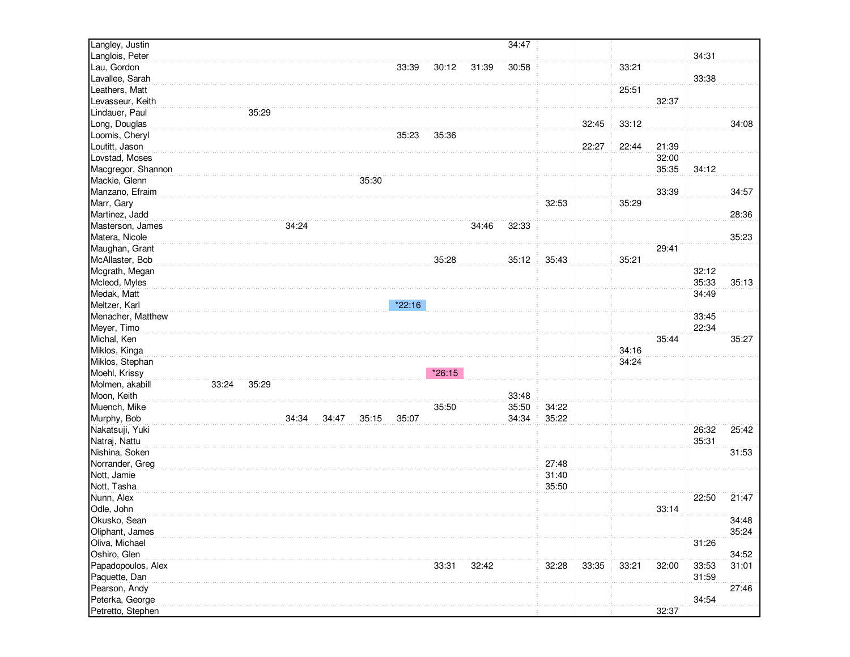| Langley, Justin    |       |       |       |       |       |        |          |       | 34:47 |       |       |       |       |       |       |
|--------------------|-------|-------|-------|-------|-------|--------|----------|-------|-------|-------|-------|-------|-------|-------|-------|
| Langlois, Peter    |       |       |       |       |       |        |          |       |       |       |       |       |       | 34:31 |       |
| Lau, Gordon        |       |       |       |       |       | 33:39  | 30:12    | 31:39 | 30:58 |       |       | 33:21 |       |       |       |
| Lavallee, Sarah    |       |       |       |       |       |        |          |       |       |       |       |       |       | 33:38 |       |
| Leathers, Matt     |       |       |       |       |       |        |          |       |       |       |       | 25:51 |       |       |       |
| Levasseur, Keith   |       |       |       |       |       |        |          |       |       |       |       |       | 32:37 |       |       |
| Lindauer, Paul     |       | 35:29 |       |       |       |        |          |       |       |       |       |       |       |       |       |
| Long, Douglas      |       |       |       |       |       |        |          |       |       |       | 32:45 | 33:12 |       |       | 34:08 |
| Loomis, Cheryl     |       |       |       |       |       | 35:23  | 35:36    |       |       |       |       |       |       |       |       |
| Loutitt, Jason     |       |       |       |       |       |        |          |       |       |       | 22:27 | 22:44 | 21:39 |       |       |
| Lovstad, Moses     |       |       |       |       |       |        |          |       |       |       |       |       | 32:00 |       |       |
| Macgregor, Shannon |       |       |       |       |       |        |          |       |       |       |       |       | 35:35 | 34:12 |       |
| Mackie, Glenn      |       |       |       |       | 35:30 |        |          |       |       |       |       |       |       |       |       |
| Manzano, Efraim    |       |       |       |       |       |        |          |       |       |       |       |       | 33:39 |       | 34:57 |
| Marr, Gary         |       |       |       |       |       |        |          |       |       | 32:53 |       | 35:29 |       |       |       |
| Martinez, Jadd     |       |       |       |       |       |        |          |       |       |       |       |       |       |       | 28:36 |
| Masterson, James   |       |       | 34:24 |       |       |        |          | 34:46 | 32:33 |       |       |       |       |       |       |
| Matera, Nicole     |       |       |       |       |       |        |          |       |       |       |       |       |       |       | 35:23 |
| Maughan, Grant     |       |       |       |       |       |        |          |       |       |       |       |       | 29:41 |       |       |
| McAllaster, Bob    |       |       |       |       |       |        | 35:28    |       | 35:12 | 35:43 |       | 35:21 |       |       |       |
| Mcgrath, Megan     |       |       |       |       |       |        |          |       |       |       |       |       |       | 32:12 |       |
| Mcleod, Myles      |       |       |       |       |       |        |          |       |       |       |       |       |       | 35:33 | 35:13 |
| Medak, Matt        |       |       |       |       |       |        |          |       |       |       |       |       |       | 34:49 |       |
| Meltzer, Karl      |       |       |       |       |       | *22:16 |          |       |       |       |       |       |       |       |       |
| Menacher, Matthew  |       |       |       |       |       |        |          |       |       |       |       |       |       | 33:45 |       |
| Meyer, Timo        |       |       |       |       |       |        |          |       |       |       |       |       |       | 22:34 |       |
| Michal, Ken        |       |       |       |       |       |        |          |       |       |       |       |       | 35:44 |       | 35:27 |
| Miklos, Kinga      |       |       |       |       |       |        |          |       |       |       |       | 34:16 |       |       |       |
| Miklos, Stephan    |       |       |       |       |       |        |          |       |       |       |       | 34:24 |       |       |       |
| Moehl, Krissy      |       |       |       |       |       |        | $*26:15$ |       |       |       |       |       |       |       |       |
| Molmen, akabill    | 33:24 | 35:29 |       |       |       |        |          |       |       |       |       |       |       |       |       |
| Moon, Keith        |       |       |       |       |       |        |          |       | 33:48 |       |       |       |       |       |       |
| Muench, Mike       |       |       |       |       |       |        | 35:50    |       | 35:50 | 34:22 |       |       |       |       |       |
| Murphy, Bob        |       |       | 34:34 | 34:47 | 35:15 | 35:07  |          |       | 34:34 | 35:22 |       |       |       |       |       |
| Nakatsuji, Yuki    |       |       |       |       |       |        |          |       |       |       |       |       |       | 26:32 | 25:42 |
| Natraj, Nattu      |       |       |       |       |       |        |          |       |       |       |       |       |       | 35:31 |       |
| Nishina, Soken     |       |       |       |       |       |        |          |       |       |       |       |       |       |       | 31:53 |
| Norrander, Greg    |       |       |       |       |       |        |          |       |       | 27:48 |       |       |       |       |       |
| Nott, Jamie        |       |       |       |       |       |        |          |       |       | 31:40 |       |       |       |       |       |
| Nott, Tasha        |       |       |       |       |       |        |          |       |       | 35:50 |       |       |       |       |       |
| Nunn, Alex         |       |       |       |       |       |        |          |       |       |       |       |       |       | 22:50 | 21:47 |
| Odle, John         |       |       |       |       |       |        |          |       |       |       |       |       | 33:14 |       |       |
| Okusko, Sean       |       |       |       |       |       |        |          |       |       |       |       |       |       |       | 34:48 |
| Oliphant, James    |       |       |       |       |       |        |          |       |       |       |       |       |       |       | 35:24 |
| Oliva, Michael     |       |       |       |       |       |        |          |       |       |       |       |       |       | 31:26 |       |
| Oshiro, Glen       |       |       |       |       |       |        |          |       |       |       |       |       |       |       | 34:52 |
| Papadopoulos, Alex |       |       |       |       |       |        | 33:31    | 32:42 |       | 32:28 | 33:35 | 33:21 | 32:00 | 33:53 | 31:01 |
| Paquette, Dan      |       |       |       |       |       |        |          |       |       |       |       |       |       | 31:59 |       |
| Pearson, Andy      |       |       |       |       |       |        |          |       |       |       |       |       |       |       | 27:46 |
| Peterka, George    |       |       |       |       |       |        |          |       |       |       |       |       |       | 34:54 |       |
| Petretto, Stephen  |       |       |       |       |       |        |          |       |       |       |       |       | 32:37 |       |       |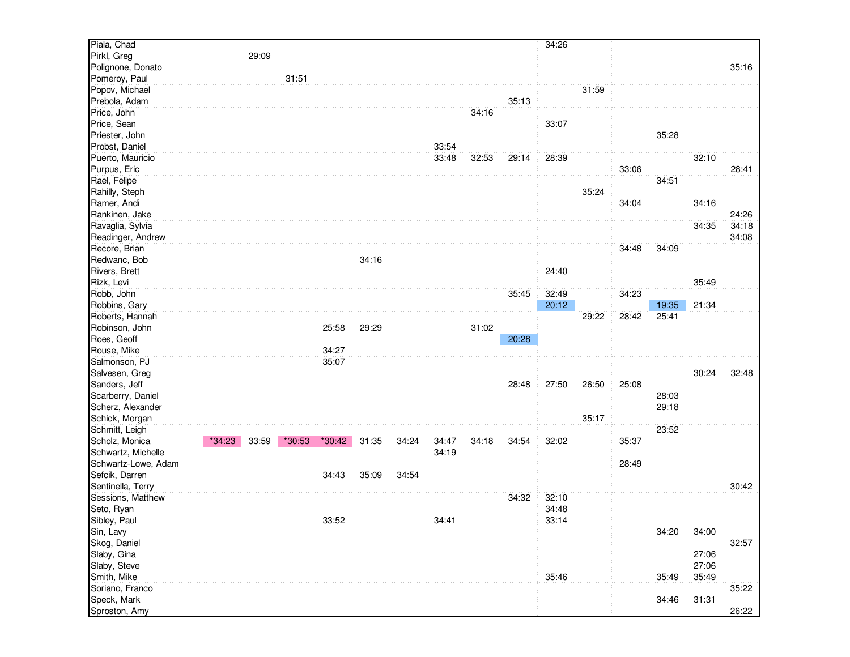| Piala, Chad         |          |       |        |          |       |       |       |       |       | 34:26 |       |       |       |       |       |
|---------------------|----------|-------|--------|----------|-------|-------|-------|-------|-------|-------|-------|-------|-------|-------|-------|
| Pirkl, Greg         |          | 29:09 |        |          |       |       |       |       |       |       |       |       |       |       |       |
| Polignone, Donato   |          |       |        |          |       |       |       |       |       |       |       |       |       |       | 35:16 |
| Pomeroy, Paul       |          |       | 31:51  |          |       |       |       |       |       |       |       |       |       |       |       |
| Popov, Michael      |          |       |        |          |       |       |       |       |       |       | 31:59 |       |       |       |       |
| Prebola, Adam       |          |       |        |          |       |       |       |       | 35:13 |       |       |       |       |       |       |
| Price, John         |          |       |        |          |       |       |       | 34:16 |       |       |       |       |       |       |       |
| Price, Sean         |          |       |        |          |       |       |       |       |       | 33:07 |       |       |       |       |       |
| Priester, John      |          |       |        |          |       |       |       |       |       |       |       |       | 35:28 |       |       |
| Probst, Daniel      |          |       |        |          |       |       | 33:54 |       |       |       |       |       |       |       |       |
| Puerto, Mauricio    |          |       |        |          |       |       | 33:48 | 32:53 | 29:14 | 28:39 |       |       |       | 32:10 |       |
| Purpus, Eric        |          |       |        |          |       |       |       |       |       |       |       | 33:06 |       |       | 28:41 |
| Rael, Felipe        |          |       |        |          |       |       |       |       |       |       |       |       | 34:51 |       |       |
| Rahilly, Steph      |          |       |        |          |       |       |       |       |       |       | 35:24 |       |       |       |       |
| Ramer, Andi         |          |       |        |          |       |       |       |       |       |       |       | 34:04 |       | 34:16 |       |
| Rankinen, Jake      |          |       |        |          |       |       |       |       |       |       |       |       |       |       | 24:26 |
| Ravaglia, Sylvia    |          |       |        |          |       |       |       |       |       |       |       |       |       | 34:35 | 34:18 |
| Readinger, Andrew   |          |       |        |          |       |       |       |       |       |       |       |       |       |       | 34:08 |
| Recore, Brian       |          |       |        |          |       |       |       |       |       |       |       | 34:48 | 34:09 |       |       |
| Redwanc, Bob        |          |       |        |          | 34:16 |       |       |       |       |       |       |       |       |       |       |
| Rivers, Brett       |          |       |        |          |       |       |       |       |       | 24:40 |       |       |       |       |       |
| Rizk, Levi          |          |       |        |          |       |       |       |       |       |       |       |       |       | 35:49 |       |
| Robb, John          |          |       |        |          |       |       |       |       | 35:45 | 32:49 |       | 34:23 |       |       |       |
| Robbins, Gary       |          |       |        |          |       |       |       |       |       | 20:12 |       |       | 19:35 | 21:34 |       |
| Roberts, Hannah     |          |       |        |          |       |       |       |       |       |       | 29:22 | 28:42 | 25:41 |       |       |
| Robinson, John      |          |       |        | 25:58    | 29:29 |       |       | 31:02 |       |       |       |       |       |       |       |
| Roes, Geoff         |          |       |        |          |       |       |       |       | 20:28 |       |       |       |       |       |       |
| Rouse, Mike         |          |       |        | 34:27    |       |       |       |       |       |       |       |       |       |       |       |
| Salmonson, PJ       |          |       |        | 35:07    |       |       |       |       |       |       |       |       |       |       |       |
| Salvesen, Greg      |          |       |        |          |       |       |       |       |       |       |       |       |       | 30:24 | 32:48 |
| Sanders, Jeff       |          |       |        |          |       |       |       |       | 28:48 | 27:50 | 26:50 | 25:08 |       |       |       |
| Scarberry, Daniel   |          |       |        |          |       |       |       |       |       |       |       |       | 28:03 |       |       |
| Scherz, Alexander   |          |       |        |          |       |       |       |       |       |       |       |       | 29:18 |       |       |
| Schick, Morgan      |          |       |        |          |       |       |       |       |       |       | 35:17 |       |       |       |       |
| Schmitt, Leigh      |          |       |        |          |       |       |       |       |       |       |       |       | 23:52 |       |       |
| Scholz, Monica      | $*34:23$ | 33:59 | *30:53 | $*30:42$ | 31:35 | 34:24 | 34:47 | 34:18 | 34:54 | 32:02 |       | 35:37 |       |       |       |
| Schwartz, Michelle  |          |       |        |          |       |       | 34:19 |       |       |       |       |       |       |       |       |
| Schwartz-Lowe, Adam |          |       |        |          |       |       |       |       |       |       |       | 28:49 |       |       |       |
| Sefcik, Darren      |          |       |        | 34:43    | 35:09 | 34:54 |       |       |       |       |       |       |       |       |       |
| Sentinella, Terry   |          |       |        |          |       |       |       |       |       |       |       |       |       |       | 30:42 |
| Sessions, Matthew   |          |       |        |          |       |       |       |       | 34:32 | 32:10 |       |       |       |       |       |
| Seto, Ryan          |          |       |        |          |       |       |       |       |       | 34:48 |       |       |       |       |       |
| Sibley, Paul        |          |       |        | 33:52    |       |       | 34:41 |       |       | 33:14 |       |       |       |       |       |
| Sin, Lavy           |          |       |        |          |       |       |       |       |       |       |       |       | 34:20 | 34:00 |       |
| Skog, Daniel        |          |       |        |          |       |       |       |       |       |       |       |       |       |       | 32:57 |
| Slaby, Gina         |          |       |        |          |       |       |       |       |       |       |       |       |       | 27:06 |       |
| Slaby, Steve        |          |       |        |          |       |       |       |       |       |       |       |       |       | 27:06 |       |
| Smith, Mike         |          |       |        |          |       |       |       |       |       | 35:46 |       |       | 35:49 | 35:49 |       |
| Soriano, Franco     |          |       |        |          |       |       |       |       |       |       |       |       |       |       | 35:22 |
| Speck, Mark         |          |       |        |          |       |       |       |       |       |       |       |       | 34:46 | 31:31 |       |
| Sproston, Amy       |          |       |        |          |       |       |       |       |       |       |       |       |       |       | 26:22 |